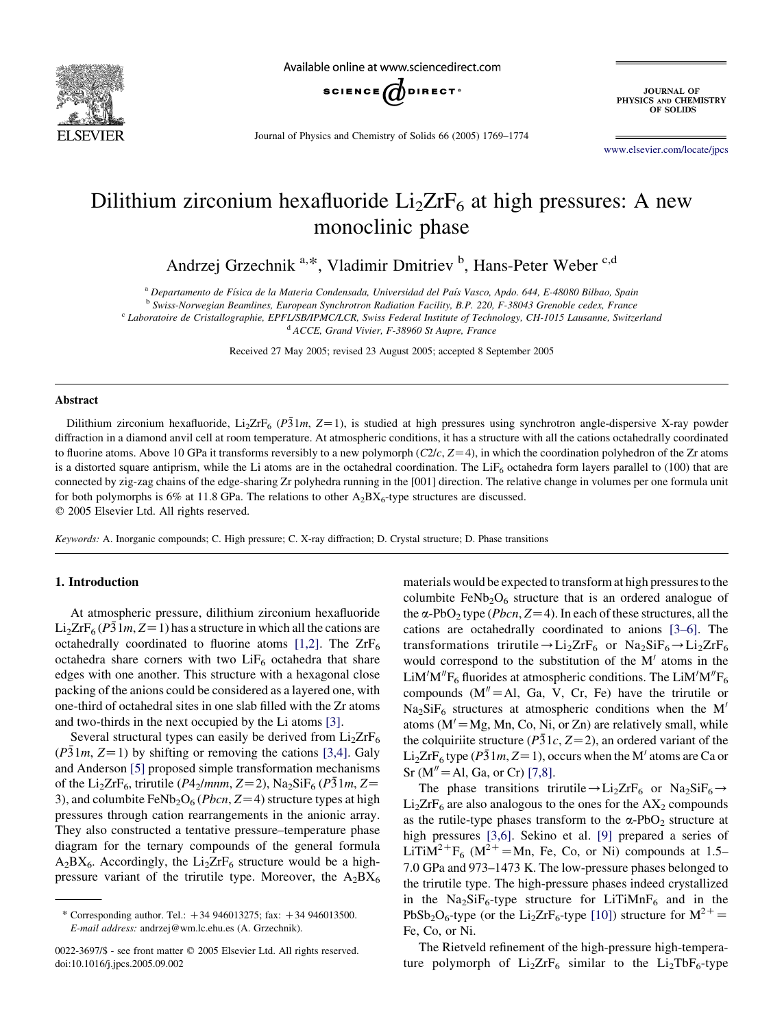

Available online at www.sciencedirect.com



JOURNAL OF<br>PHYSICS AND CHEMISTRY OF SOLIDS

Journal of Physics and Chemistry of Solids 66 (2005) 1769–1774

[www.elsevier.com/locate/jpcs](http://www.elsevier.com/locate/jpcs)

# Dilithium zirconium hexafluoride  $Li<sub>2</sub>ZrF<sub>6</sub>$  at high pressures: A new monoclinic phase

Andrzej Grzechnik<sup>a, \*</sup>, Vladimir Dmitriev<sup>b</sup>, Hans-Peter Weber<sup>c,d</sup>

<sup>a</sup> Departamento de Física de la Materia Condensada, Universidad del País Vasco, Apdo. 644, E-48080 Bilbao, Spain

<sup>b</sup> Swiss-Norwegian Beamlines, European Synchrotron Radiation Facility, B.P. 220, F-38043 Grenoble cedex, France

<sup>c</sup> Laboratoire de Cristallographie, EPFL/SB/IPMC/LCR, Swiss Federal Institute of Technology, CH-1015 Lausanne, Switzerland

<sup>d</sup> ACCE, Grand Vivier, F-38960 St Aupre, France

Received 27 May 2005; revised 23 August 2005; accepted 8 September 2005

#### Abstract

Dilithium zirconium hexafluoride, Li<sub>2</sub>ZrF<sub>6</sub> (P31m, Z=1), is studied at high pressures using synchrotron angle-dispersive X-ray powder diffraction in a diamond anvil cell at room temperature. At atmospheric conditions, it has a structure with all the cations octahedrally coordinated to fluorine atoms. Above 10 GPa it transforms reversibly to a new polymorph  $(C2/c, Z=4)$ , in which the coordination polyhedron of the Zr atoms is a distorted square antiprism, while the Li atoms are in the octahedral coordination. The LiF<sub>6</sub> octahedra form layers parallel to (100) that are connected by zig-zag chains of the edge-sharing Zr polyhedra running in the [001] direction. The relative change in volumes per one formula unit for both polymorphs is 6% at 11.8 GPa. The relations to other  $A_2BX_6$ -type structures are discussed.

 $©$  2005 Elsevier Ltd. All rights reserved.

Keywords: A. Inorganic compounds; C. High pressure; C. X-ray diffraction; D. Crystal structure; D. Phase transitions

## 1. Introduction

At atmospheric pressure, dilithium zirconium hexafluoride  $Li<sub>2</sub>ZrF<sub>6</sub> (P\bar{3}1m, Z=1)$  has a structure in which all the cations are octahedrally coordinated to fluorine atoms [\[1,2\].](#page-5-0) The  $ZrF_6$ octahedra share corners with two  $LiF<sub>6</sub>$  octahedra that share edges with one another. This structure with a hexagonal close packing of the anions could be considered as a layered one, with one-third of octahedral sites in one slab filled with the Zr atoms and two-thirds in the next occupied by the Li atoms [\[3\]](#page-5-0).

Several structural types can easily be derived from  $Li<sub>2</sub>ZrF<sub>6</sub>$  $(P31m, Z=1)$  by shifting or removing the cations [\[3,4\]](#page-5-0). Galy and Anderson [\[5\]](#page-5-0) proposed simple transformation mechanisms of the Li<sub>2</sub>ZrF<sub>6</sub>, trirutile (P4<sub>2</sub>/mnm, Z=2), Na<sub>2</sub>SiF<sub>6</sub> (P31m, Z= 3), and columbite FeNb<sub>2</sub>O<sub>6</sub> (*Pbcn*, Z=4) structure types at high pressures through cation rearrangements in the anionic array. They also constructed a tentative pressure–temperature phase diagram for the ternary compounds of the general formula  $A_2BX_6$ . Accordingly, the Li<sub>2</sub>ZrF<sub>6</sub> structure would be a highpressure variant of the trirutile type. Moreover, the  $A_2BX_6$  materials would be expected to transform at high pressures to the columbite  $FeNb<sub>2</sub>O<sub>6</sub>$  structure that is an ordered analogue of the  $\alpha$ -PbO<sub>2</sub> type (*Pbcn*, Z=4). In each of these structures, all the cations are octahedrally coordinated to anions [\[3–6\].](#page-5-0) The transformations trirutile $\rightarrow$ Li<sub>2</sub>ZrF<sub>6</sub> or Na<sub>2</sub>SiF<sub>6</sub> $\rightarrow$ Li<sub>2</sub>ZrF<sub>6</sub> would correspond to the substitution of the  $M'$  atoms in the LiM'M" $F_6$  fluorides at atmospheric conditions. The LiM'M" $F_6$ compounds  $(M''=Al, Ga, V, Cr, Fe)$  have the trirutile or  $Na<sub>2</sub>SiF<sub>6</sub>$  structures at atmospheric conditions when the M<sup>'</sup> atoms  $(M' = Mg, Mn, Co, Ni, or Zn)$  are relatively small, while the colquiriite structure ( $P\bar{3}1c$ ,  $Z=2$ ), an ordered variant of the Li<sub>2</sub>ZrF<sub>6</sub> type ( $P\bar{3}1m, Z=1$ ), occurs when the M<sup>'</sup> atoms are Ca or Sr ( $M'' = Al$ , Ga, or Cr) [\[7,8\].](#page-5-0)

The phase transitions trirutile  $\rightarrow$  Li<sub>2</sub>ZrF<sub>6</sub> or Na<sub>2</sub>SiF<sub>6</sub> $\rightarrow$  $Li<sub>2</sub>ZrF<sub>6</sub>$  are also analogous to the ones for the AX<sub>2</sub> compounds as the rutile-type phases transform to the  $\alpha$ -PbO<sub>2</sub> structure at high pressures [\[3,6\]](#page-5-0). Sekino et al. [\[9\]](#page-5-0) prepared a series of LiTiM<sup>2+</sup>F<sub>6</sub> (M<sup>2+</sup> = Mn, Fe, Co, or Ni) compounds at 1.5– 7.0 GPa and 973–1473 K. The low-pressure phases belonged to the trirutile type. The high-pressure phases indeed crystallized in the Na<sub>2</sub>SiF<sub>6</sub>-type structure for LiTiMnF<sub>6</sub> and in the PbSb<sub>2</sub>O<sub>6</sub>-type (or the Li<sub>2</sub>ZrF<sub>6</sub>-type [\[10\]\)](#page-5-0) structure for  $M^{2+}$ Fe, Co, or Ni.

The Rietveld refinement of the high-pressure high-temperature polymorph of  $Li<sub>2</sub>ZrF<sub>6</sub>$  similar to the  $Li<sub>2</sub>TbF<sub>6</sub>$ -type

<sup>\*</sup> Corresponding author. Tel.:  $+34$  946013275; fax:  $+34$  946013500. E-mail address: andrzej@wm.lc.ehu.es (A. Grzechnik).

<sup>0022-3697/\$ -</sup> see front matter © 2005 Elsevier Ltd. All rights reserved. doi:10.1016/j.jpcs.2005.09.002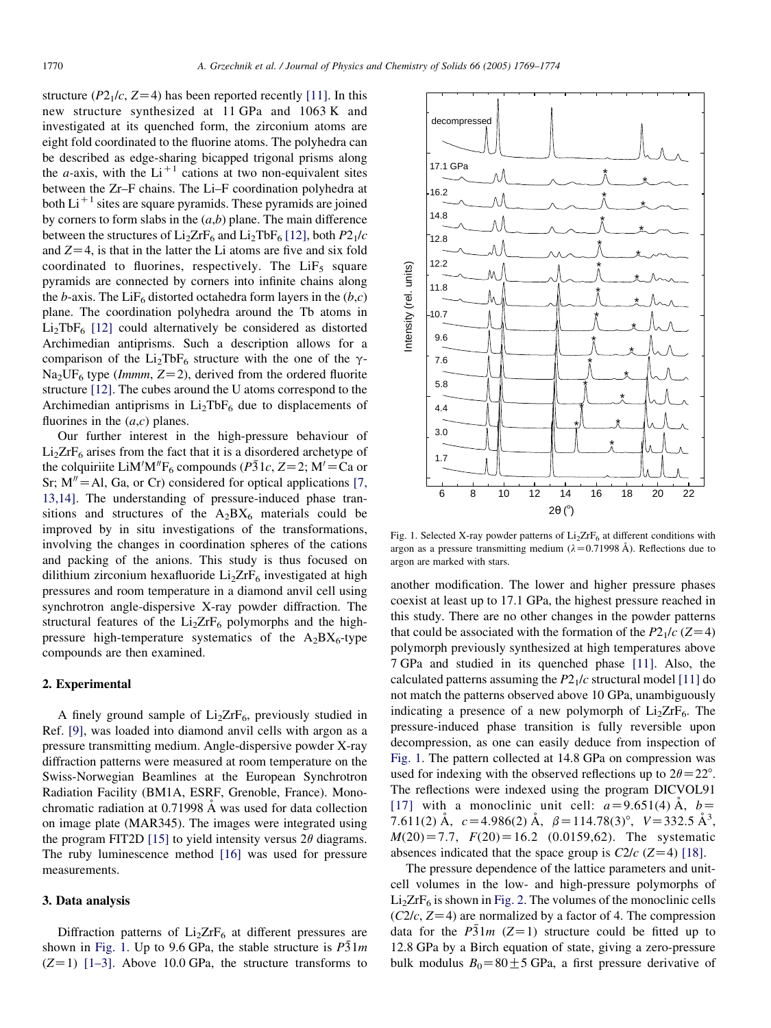structure ( $P2_1/c$ ,  $Z=4$ ) has been reported recently [\[11\]](#page-5-0). In this new structure synthesized at 11 GPa and 1063 K and investigated at its quenched form, the zirconium atoms are eight fold coordinated to the fluorine atoms. The polyhedra can be described as edge-sharing bicapped trigonal prisms along the *a*-axis, with the  $Li^{+1}$  cations at two non-equivalent sites between the Zr–F chains. The Li–F coordination polyhedra at both  $Li<sup>+1</sup>$  sites are square pyramids. These pyramids are joined by corners to form slabs in the  $(a,b)$  plane. The main difference between the structures of  $Li<sub>2</sub>ZrF<sub>6</sub>$  and  $Li<sub>2</sub>TbF<sub>6</sub>$  [\[12\],](#page-5-0) both  $P2<sub>1</sub>/c$ and  $Z=4$ , is that in the latter the Li atoms are five and six fold coordinated to fluorines, respectively. The  $LiF<sub>5</sub>$  square pyramids are connected by corners into infinite chains along the b-axis. The LiF<sub>6</sub> distorted octahedra form layers in the  $(b, c)$ plane. The coordination polyhedra around the Tb atoms in  $Li<sub>2</sub>TbF<sub>6</sub>$  [\[12\]](#page-5-0) could alternatively be considered as distorted Archimedian antiprisms. Such a description allows for a comparison of the Li<sub>2</sub>TbF<sub>6</sub> structure with the one of the  $\gamma$ - $Na<sub>2</sub>UF<sub>6</sub>$  type (*Immm*,  $Z=2$ ), derived from the ordered fluorite structure [\[12\].](#page-5-0) The cubes around the U atoms correspond to the Archimedian antiprisms in  $Li<sub>2</sub>TbF<sub>6</sub>$  due to displacements of fluorines in the  $(a, c)$  planes.

Our further interest in the high-pressure behaviour of  $Li<sub>2</sub>ZrF<sub>6</sub>$  arises from the fact that it is a disordered archetype of the colquiriite LiM'M" $F_6$  compounds (P31c, Z=2; M'=Ca or Sr;  $M'' = A1$ , Ga, or Cr) considered for optical applications [\[7,](#page-5-0) [13,14\].](#page-5-0) The understanding of pressure-induced phase transitions and structures of the  $A_2BX_6$  materials could be improved by in situ investigations of the transformations, involving the changes in coordination spheres of the cations and packing of the anions. This study is thus focused on dilithium zirconium hexafluoride  $Li<sub>2</sub>ZrF<sub>6</sub>$  investigated at high pressures and room temperature in a diamond anvil cell using synchrotron angle-dispersive X-ray powder diffraction. The structural features of the  $Li<sub>2</sub>ZrF<sub>6</sub>$  polymorphs and the highpressure high-temperature systematics of the  $A_2BX_6$ -type compounds are then examined.

## 2. Experimental

A finely ground sample of  $Li<sub>2</sub>ZrF<sub>6</sub>$ , previously studied in Ref. [\[9\],](#page-5-0) was loaded into diamond anvil cells with argon as a pressure transmitting medium. Angle-dispersive powder X-ray diffraction patterns were measured at room temperature on the Swiss-Norwegian Beamlines at the European Synchrotron Radiation Facility (BM1A, ESRF, Grenoble, France). Monochromatic radiation at  $0.71998 \text{ Å}$  was used for data collection on image plate (MAR345). The images were integrated using the program FIT2D [\[15\]](#page-5-0) to yield intensity versus  $2\theta$  diagrams. The ruby luminescence method [\[16\]](#page-5-0) was used for pressure measurements.

#### 3. Data analysis

Diffraction patterns of  $Li<sub>2</sub>ZrF<sub>6</sub>$  at different pressures are shown in Fig. 1. Up to 9.6 GPa, the stable structure is  $P\bar{3}1m$  $(Z=1)$  [\[1–3\].](#page-5-0) Above 10.0 GPa, the structure transforms to



Fig. 1. Selected X-ray powder patterns of  $Li<sub>2</sub>ZrF<sub>6</sub>$  at different conditions with argon as a pressure transmitting medium ( $\lambda$ =0.71998 Å). Reflections due to argon are marked with stars.

another modification. The lower and higher pressure phases coexist at least up to 17.1 GPa, the highest pressure reached in this study. There are no other changes in the powder patterns that could be associated with the formation of the  $P2<sub>1</sub>/c$  (Z=4) polymorph previously synthesized at high temperatures above 7 GPa and studied in its quenched phase [\[11\]](#page-5-0). Also, the calculated patterns assuming the  $P2<sub>1</sub>/c$  structural model [\[11\]](#page-5-0) do not match the patterns observed above 10 GPa, unambiguously indicating a presence of a new polymorph of  $Li<sub>2</sub>ZrF<sub>6</sub>$ . The pressure-induced phase transition is fully reversible upon decompression, as one can easily deduce from inspection of Fig. 1. The pattern collected at 14.8 GPa on compression was used for indexing with the observed reflections up to  $2\theta = 22^{\circ}$ . The reflections were indexed using the program DICVOL91 [\[17\]](#page-5-0) with a monoclinic unit cell:  $a=9.651(4)$  Å,  $b=$ 7.611(2)  $\mathring{A}$ ,  $c = 4.986(2) \mathring{A}$ ,  $\beta = 114.78(3)^\circ$ ,  $V = 332.5 \mathring{A}^3$ ,  $M(20) = 7.7$ ,  $F(20) = 16.2$  (0.0159,62). The systematic absences indicated that the space group is  $C2/c$  (Z=4) [\[18\]](#page-5-0).

The pressure dependence of the lattice parameters and unitcell volumes in the low- and high-pressure polymorphs of  $Li<sub>2</sub>ZrF<sub>6</sub>$  is shown in [Fig. 2.](#page-2-0) The volumes of the monoclinic cells  $(C2/c, Z=4)$  are normalized by a factor of 4. The compression data for the  $P\bar{3}1m$  (Z=1) structure could be fitted up to 12.8 GPa by a Birch equation of state, giving a zero-pressure bulk modulus  $B_0 = 80 \pm 5$  GPa, a first pressure derivative of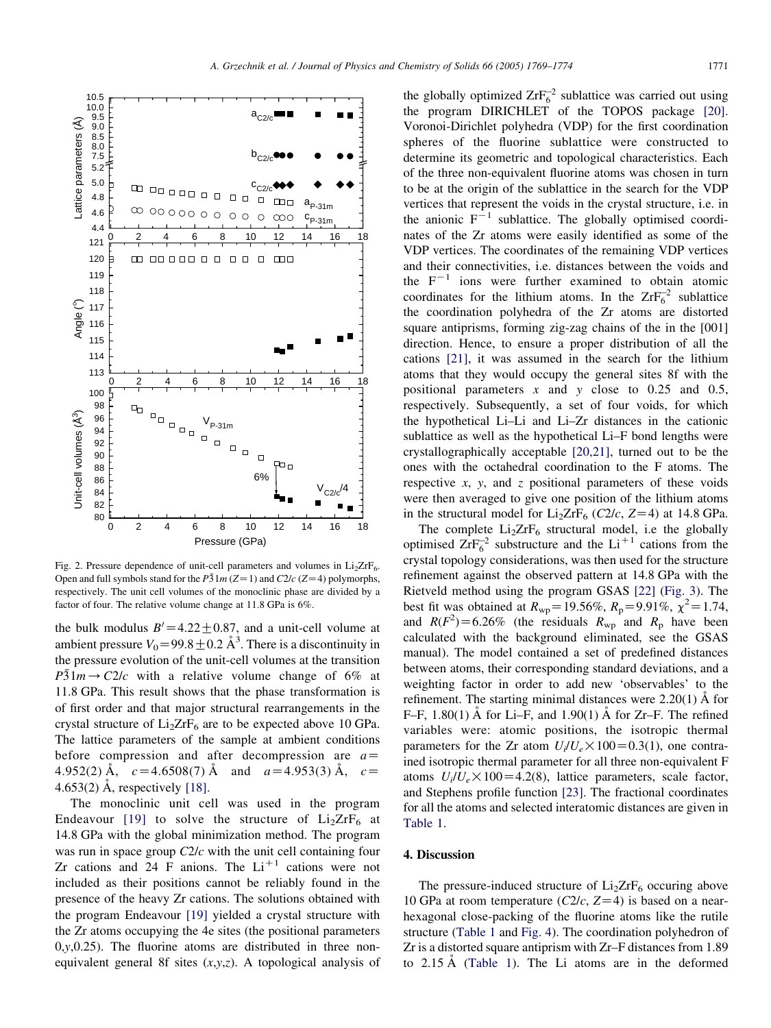<span id="page-2-0"></span>

Fig. 2. Pressure dependence of unit-cell parameters and volumes in  $Li<sub>2</sub>ZrF<sub>6</sub>$ . Open and full symbols stand for the  $P\bar{3}1m(Z=1)$  and  $C2/c(Z=4)$  polymorphs, respectively. The unit cell volumes of the monoclinic phase are divided by a factor of four. The relative volume change at 11.8 GPa is 6%.

the bulk modulus  $B' = 4.22 \pm 0.87$ , and a unit-cell volume at ambient pressure  $V_0 = 99.8 \pm 0.2 \text{ Å}^3$ . There is a discontinuity in the pressure evolution of the unit-cell volumes at the transition  $P\bar{3}1m \rightarrow C2/c$  with a relative volume change of 6% at 11.8 GPa. This result shows that the phase transformation is of first order and that major structural rearrangements in the crystal structure of  $Li<sub>2</sub>ZrF<sub>6</sub>$  are to be expected above 10 GPa. The lattice parameters of the sample at ambient conditions before compression and after decompression are  $a=$ 4.952(2) Å,  $c=4.6508(7)$  Å and  $a=4.953(3)$  Å,  $c=$ 4.653(2) Å, respectively  $[18]$ .

The monoclinic unit cell was used in the program Endeavour [\[19\]](#page-5-0) to solve the structure of  $Li<sub>2</sub>ZrF<sub>6</sub>$  at 14.8 GPa with the global minimization method. The program was run in space group  $C2/c$  with the unit cell containing four Zr cations and 24 F anions. The  $Li<sup>+1</sup>$  cations were not included as their positions cannot be reliably found in the presence of the heavy Zr cations. The solutions obtained with the program Endeavour [\[19\]](#page-5-0) yielded a crystal structure with the Zr atoms occupying the 4e sites (the positional parameters  $0, y, 0.25$ ). The fluorine atoms are distributed in three nonequivalent general 8f sites  $(x, y, z)$ . A topological analysis of

the globally optimized  $ZrF_6^2$  sublattice was carried out using the program DIRICHLET of the TOPOS package [\[20\]](#page-5-0). Voronoi-Dirichlet polyhedra (VDP) for the first coordination spheres of the fluorine sublattice were constructed to determine its geometric and topological characteristics. Each of the three non-equivalent fluorine atoms was chosen in turn to be at the origin of the sublattice in the search for the VDP vertices that represent the voids in the crystal structure, i.e. in the anionic  $F^{-1}$  sublattice. The globally optimised coordinates of the Zr atoms were easily identified as some of the VDP vertices. The coordinates of the remaining VDP vertices and their connectivities, i.e. distances between the voids and the  $F^{-1}$  ions were further examined to obtain atomic coordinates for the lithium atoms. In the  $ZrF_6^{-2}$  sublattice the coordination polyhedra of the Zr atoms are distorted square antiprisms, forming zig-zag chains of the in the [001] direction. Hence, to ensure a proper distribution of all the cations [\[21\]](#page-5-0), it was assumed in the search for the lithium atoms that they would occupy the general sites 8f with the positional parameters  $x$  and  $y$  close to 0.25 and 0.5, respectively. Subsequently, a set of four voids, for which the hypothetical Li–Li and Li–Zr distances in the cationic sublattice as well as the hypothetical Li–F bond lengths were crystallographically acceptable [\[20,21\]](#page-5-0), turned out to be the ones with the octahedral coordination to the F atoms. The respective  $x$ ,  $y$ , and  $z$  positional parameters of these voids were then averaged to give one position of the lithium atoms in the structural model for  $Li<sub>2</sub>ZrF<sub>6</sub>$  (C2/c, Z=4) at 14.8 GPa.

The complete  $Li<sub>2</sub>ZrF<sub>6</sub>$  structural model, i.e the globally optimised  $ZrF_6^{-2}$  substructure and the Li<sup>+1</sup> cations from the crystal topology considerations, was then used for the structure refinement against the observed pattern at 14.8 GPa with the Rietveld method using the program GSAS [\[22\]](#page-5-0) [\(Fig. 3\)](#page-3-0). The best fit was obtained at  $R_{wp} = 19.56\%$ ,  $R_p = 9.91\%$ ,  $\chi^2 = 1.74$ , and  $R(F^2) = 6.26\%$  (the residuals  $R_{wp}$  and  $R_p$  have been calculated with the background eliminated, see the GSAS manual). The model contained a set of predefined distances between atoms, their corresponding standard deviations, and a weighting factor in order to add new 'observables' to the refinement. The starting minimal distances were  $2.20(1)$  Å for F–F,  $1.80(1)$  Å for Li–F, and  $1.90(1)$  Å for Zr–F. The refined variables were: atomic positions, the isotropic thermal parameters for the Zr atom  $U_i/U_e \times 100 = 0.3(1)$ , one contrained isotropic thermal parameter for all three non-equivalent F atoms  $U_i/U_e \times 100 = 4.2(8)$ , lattice parameters, scale factor, and Stephens profile function [\[23\].](#page-5-0) The fractional coordinates for all the atoms and selected interatomic distances are given in [Table 1](#page-3-0).

# 4. Discussion

The pressure-induced structure of  $Li<sub>2</sub>ZrF<sub>6</sub>$  occuring above 10 GPa at room temperature ( $C2/c$ ,  $Z=4$ ) is based on a nearhexagonal close-packing of the fluorine atoms like the rutile structure ([Table 1](#page-3-0) and [Fig. 4](#page-4-0)). The coordination polyhedron of Zr is a distorted square antiprism with Zr–F distances from 1.89 to  $2.15 \text{ Å}$  ([Table 1\)](#page-3-0). The Li atoms are in the deformed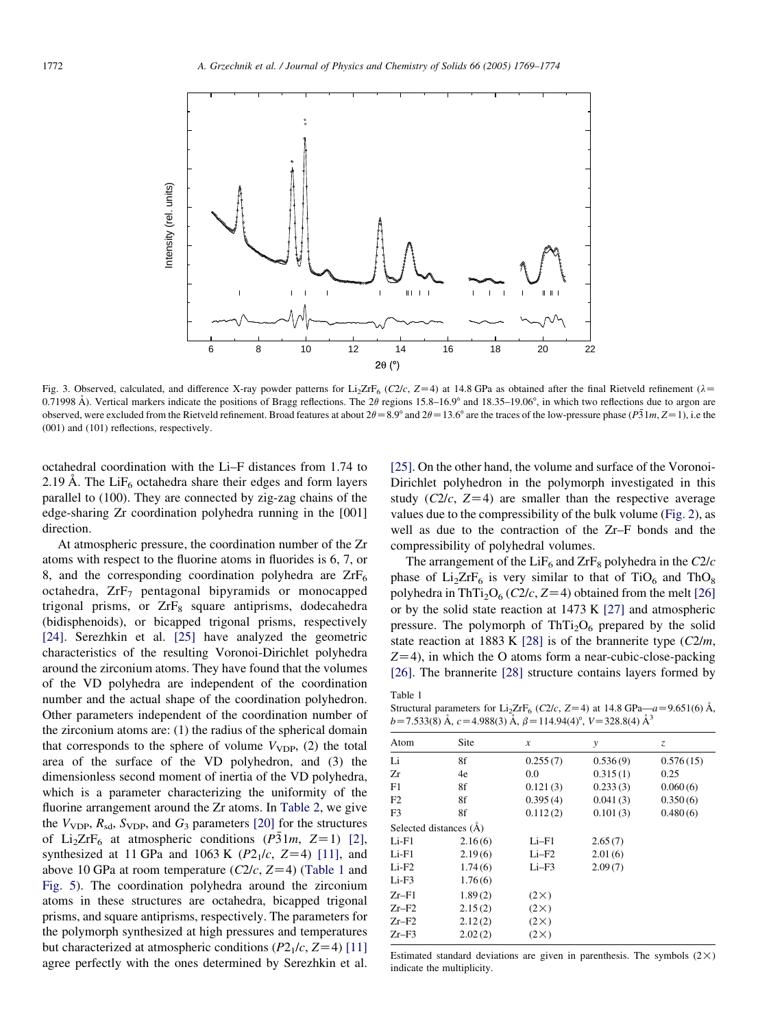<span id="page-3-0"></span>

Fig. 3. Observed, calculated, and difference X-ray powder patterns for Li<sub>2</sub>ZrF<sub>6</sub> (C2/c, Z=4) at 14.8 GPa as obtained after the final Rietveld refinement ( $\lambda$ = 0.71998 Å). Vertical markers indicate the positions of Bragg reflections. The  $2\theta$  regions 15.8–16.9° and 18.35–19.06°, in which two reflections due to argon are observed, were excluded from the Rietveld refinement. Broad features at about  $2\theta = 8.9^\circ$  and  $2\theta = 13.6^\circ$  are the traces of the low-pressure phase ( $P\overline{3}1m, Z=1$ ), i.e the (001) and (101) reflections, respectively.

Table 1

octahedral coordination with the Li–F distances from 1.74 to 2.19 Å. The LiF<sub>6</sub> octahedra share their edges and form layers parallel to (100). They are connected by zig-zag chains of the edge-sharing Zr coordination polyhedra running in the [001] direction.

At atmospheric pressure, the coordination number of the Zr atoms with respect to the fluorine atoms in fluorides is 6, 7, or 8, and the corresponding coordination polyhedra are  $ZrF_6$ octahedra,  $ZrF<sub>7</sub>$  pentagonal bipyramids or monocapped trigonal prisms, or ZrF<sub>8</sub> square antiprisms, dodecahedra (bidisphenoids), or bicapped trigonal prisms, respectively [\[24\]](#page-5-0). Serezhkin et al. [\[25\]](#page-5-0) have analyzed the geometric characteristics of the resulting Voronoi-Dirichlet polyhedra around the zirconium atoms. They have found that the volumes of the VD polyhedra are independent of the coordination number and the actual shape of the coordination polyhedron. Other parameters independent of the coordination number of the zirconium atoms are: (1) the radius of the spherical domain that corresponds to the sphere of volume  $V_{\text{VDP}}$ , (2) the total area of the surface of the VD polyhedron, and (3) the dimensionless second moment of inertia of the VD polyhedra, which is a parameter characterizing the uniformity of the fluorine arrangement around the Zr atoms. In [Table 2](#page-4-0), we give the  $V_{\text{VDP}}$ ,  $R_{\text{sd}}$ ,  $S_{\text{VDP}}$ , and  $G_3$  parameters [\[20\]](#page-5-0) for the structures of Li<sub>2</sub>ZrF<sub>6</sub> at atmospheric conditions ( $P\bar{3}1m$ , Z=1) [\[2\]](#page-5-0), synthesized at 11 GPa and 1063 K  $(P2<sub>1</sub>/c, Z=4)$  [\[11\]](#page-5-0), and above 10 GPa at room temperature ( $C2/c$ ,  $Z=4$ ) (Table 1 and [Fig. 5\)](#page-5-0). The coordination polyhedra around the zirconium atoms in these structures are octahedra, bicapped trigonal prisms, and square antiprisms, respectively. The parameters for the polymorph synthesized at high pressures and temperatures but characterized at atmospheric conditions ( $P2_1/c$ ,  $Z=4$ ) [\[11\]](#page-5-0) agree perfectly with the ones determined by Serezhkin et al.

[\[25\]](#page-5-0). On the other hand, the volume and surface of the Voronoi-Dirichlet polyhedron in the polymorph investigated in this study ( $C2/c$ ,  $Z=4$ ) are smaller than the respective average values due to the compressibility of the bulk volume ([Fig. 2\)](#page-2-0), as well as due to the contraction of the Zr–F bonds and the compressibility of polyhedral volumes.

The arrangement of the  $LiF_6$  and  $ZrF_8$  polyhedra in the  $C2/c$ phase of  $Li<sub>2</sub>ZrF<sub>6</sub>$  is very similar to that of TiO<sub>6</sub> and ThO<sub>8</sub> polyhedra in ThTi<sub>2</sub>O<sub>6</sub> (C2/c, Z=4) obtained from the melt [\[26\]](#page-5-0) or by the solid state reaction at 1473 K [\[27\]](#page-5-0) and atmospheric pressure. The polymorph of  $ThTi<sub>2</sub>O<sub>6</sub>$  prepared by the solid state reaction at 1883 K [\[28\]](#page-5-0) is of the brannerite type  $(C2/m,$  $Z=4$ ), in which the O atoms form a near-cubic-close-packing [\[26\]](#page-5-0). The brannerite [\[28\]](#page-5-0) structure contains layers formed by

Structural parameters for Li<sub>2</sub>ZrF<sub>6</sub> (C2/c, Z=4) at 14.8 GPa—a=9.651(6)  $\AA$ ,  $b=7.533(8)$  Å,  $c=4.988(3)$  Å,  $\beta=114.94(4)^\circ$ ,  $V=328.8(4)$  Å<sup>3</sup>

| Site                   | $\boldsymbol{x}$ | y        | z         |
|------------------------|------------------|----------|-----------|
| 8f                     | 0.255(7)         | 0.536(9) | 0.576(15) |
| 4e                     | 0.0              | 0.315(1) | 0.25      |
| 8f                     | 0.121(3)         | 0.233(3) | 0.060(6)  |
| 8f                     | 0.395(4)         | 0.041(3) | 0.350(6)  |
| 8f                     | 0.112(2)         | 0.101(3) | 0.480(6)  |
| Selected distances (A) |                  |          |           |
| 2.16(6)                | Li–F1            | 2.65(7)  |           |
| 2.19(6)                | $Li-F2$          | 2.01(6)  |           |
| 1.74(6)                | $Li-F3$          | 2.09(7)  |           |
| 1.76(6)                |                  |          |           |
| 1.89(2)                | $(2\times)$      |          |           |
| 2.15(2)                | $(2\times)$      |          |           |
| 2.12(2)                | $(2\times)$      |          |           |
| 2.02(2)                | $(2\times)$      |          |           |
|                        |                  |          |           |

Estimated standard deviations are given in parenthesis. The symbols  $(2\times)$ indicate the multiplicity.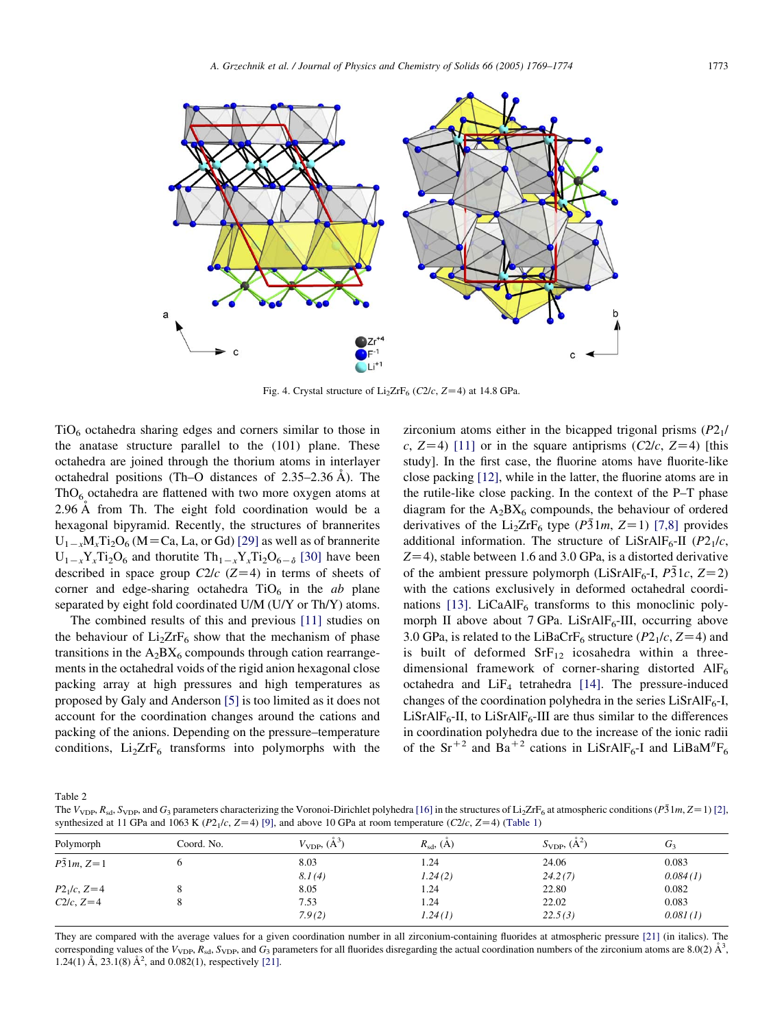<span id="page-4-0"></span>

Fig. 4. Crystal structure of  $Li<sub>2</sub>ZrF<sub>6</sub>$  (C2/c, Z=4) at 14.8 GPa.

 $TiO<sub>6</sub>$  octahedra sharing edges and corners similar to those in the anatase structure parallel to the (101) plane. These octahedra are joined through the thorium atoms in interlayer octahedral positions (Th–O distances of  $2.35-2.36$  Å). The  $ThO<sub>6</sub>$  octahedra are flattened with two more oxygen atoms at 2.96 Å from Th. The eight fold coordination would be a hexagonal bipyramid. Recently, the structures of brannerites  $U_{1-x}M_{y}Ti_2O_6$  (M = Ca, La, or Gd) [\[29\]](#page-5-0) as well as of brannerite  $U_{1-x}Y_{x}Ti_{2}O_{6}$  and thorutite  $Th_{1-x}Y_{x}Ti_{2}O_{6-\delta}$  [\[30\]](#page-5-0) have been described in space group  $C2/c$  (Z=4) in terms of sheets of corner and edge-sharing octahedra  $TiO<sub>6</sub>$  in the *ab* plane separated by eight fold coordinated U/M (U/Y or Th/Y) atoms.

The combined results of this and previous [\[11\]](#page-5-0) studies on the behaviour of  $Li<sub>2</sub>ZrF<sub>6</sub>$  show that the mechanism of phase transitions in the  $A_2BX_6$  compounds through cation rearrangements in the octahedral voids of the rigid anion hexagonal close packing array at high pressures and high temperatures as proposed by Galy and Anderson [\[5\]](#page-5-0) is too limited as it does not account for the coordination changes around the cations and packing of the anions. Depending on the pressure–temperature conditions,  $Li<sub>2</sub>ZrF<sub>6</sub>$  transforms into polymorphs with the zirconium atoms either in the bicapped trigonal prisms  $(P2<sub>1</sub>/$ c,  $Z=4$ ) [\[11\]](#page-5-0) or in the square antiprisms (C2/c,  $Z=4$ ) [this study]. In the first case, the fluorine atoms have fluorite-like close packing [\[12\]](#page-5-0), while in the latter, the fluorine atoms are in the rutile-like close packing. In the context of the P–T phase diagram for the  $A_2BX_6$  compounds, the behaviour of ordered derivatives of the Li<sub>2</sub>ZrF<sub>6</sub> type ( $P\bar{3}1m$ , Z=1) [\[7,8\]](#page-5-0) provides additional information. The structure of LiSrAlF<sub>6</sub>-II ( $P2_1/c$ ,  $Z=4$ ), stable between 1.6 and 3.0 GPa, is a distorted derivative of the ambient pressure polymorph (LiSrAlF<sub>6</sub>-I,  $P\bar{3}1c$ ,  $Z=2$ ) with the cations exclusively in deformed octahedral coordi-nations [\[13\].](#page-5-0) LiCaAlF $_6$  transforms to this monoclinic polymorph II above about 7 GPa. LiSrAl $F_6$ -III, occurring above 3.0 GPa, is related to the LiBaCrF<sub>6</sub> structure ( $P2_1/c$ ,  $Z=4$ ) and is built of deformed  $\text{SrF}_{12}$  icosahedra within a threedimensional framework of corner-sharing distorted AlF<sub>6</sub> octahedra and  $LiF<sub>4</sub>$  tetrahedra [\[14\]](#page-5-0). The pressure-induced changes of the coordination polyhedra in the series  $LiSrAlF<sub>6</sub>-I$ ,  $LiSrAlF<sub>6</sub>-II$ , to  $LiSrAlF<sub>6</sub>-III$  are thus similar to the differences in coordination polyhedra due to the increase of the ionic radii of the Sr<sup>+2</sup> and Ba<sup>+2</sup> cations in LiSrAlF<sub>6</sub>-I and LiBaM<sup>n</sup>F<sub>6</sub>

Table 2

The  $V_{\text{VDP}}, R_{\text{sd}}, S_{\text{VDP}},$  and  $G_3$  parameters characterizing the Voronoi-Dirichlet polyhedra [\[16\]](#page-5-0) in the structures of Li<sub>2</sub>ZrF<sub>6</sub> at atmospheric conditions ( $P_3$ 1*m*, Z=1) [\[2\],](#page-5-0) synthesized at 11 GPa and 1063 K ( $P2_1/c$ ,  $Z=4$ ) [\[9\]](#page-5-0), and above 10 GPa at room temperature ( $C2/c$ ,  $Z=4$ ) [\(Table 1\)](#page-3-0)

| Polymorph         | Coord. No. | $V_{\text{VDP}}$ , $(\AA^3)$ | $R_{sd}$ , $(\dot{A})$ | $S_{\text{VDP}}$ , $(A^2)$ | $G_3$    |
|-------------------|------------|------------------------------|------------------------|----------------------------|----------|
| $P\bar{3}1m, Z=1$ |            | 8.03                         | 1.24                   | 24.06                      | 0.083    |
|                   |            | 8.1(4)                       | 1.24(2)                | 24.2(7)                    | 0.084(1) |
| $P2_1/c, Z=4$     |            | 8.05                         | 1.24                   | 22.80                      | 0.082    |
| $C2/c$ , $Z=4$    |            | 7.53                         | 1.24                   | 22.02                      | 0.083    |
|                   |            | 7.9(2)                       | 1.24(1)                | 22.5(3)                    | 0.081(1) |

They are compared with the average values for a given coordination number in all zirconium-containing fluorides at atmospheric pressure [\[21\]](#page-5-0) (in italics). The corresponding values of the  $V_{\text{VDP}}$ ,  $R_{\text{sd}}$ ,  $S_{\text{VDP}}$ , and  $G_3$  parameters for all fluorides disregarding the actual coordination numbers of the zirconium atoms are 8.0(2)  $\AA^3$ , 1.24(1) Å, 23.1(8) Å<sup>2</sup>, and 0.082(1), respectively [\[21\].](#page-5-0)